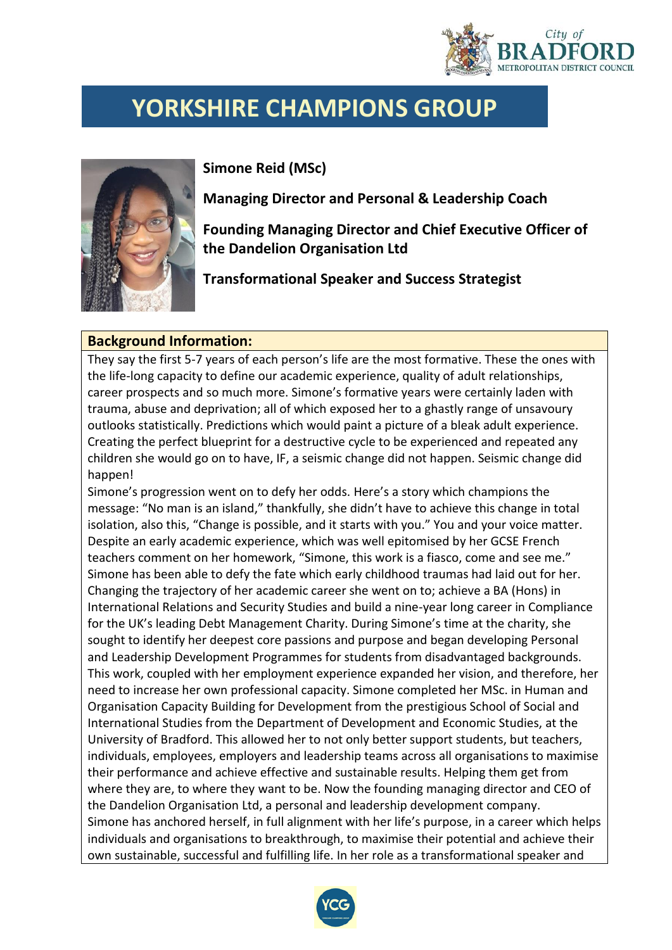

## **YORKSHIRE CHAMPIONS GROUP**



**Simone Reid (MSc)**

**Managing Director and Personal & Leadership Coach**

**Founding Managing Director and Chief Executive Officer of the Dandelion Organisation Ltd**

**Transformational Speaker and Success Strategist**

## **Background Information:**

They say the first 5-7 years of each person's life are the most formative. These the ones with the life-long capacity to define our academic experience, quality of adult relationships, career prospects and so much more. Simone's formative years were certainly laden with trauma, abuse and deprivation; all of which exposed her to a ghastly range of unsavoury outlooks statistically. Predictions which would paint a picture of a bleak adult experience. Creating the perfect blueprint for a destructive cycle to be experienced and repeated any children she would go on to have, IF, a seismic change did not happen. Seismic change did happen!

Simone's progression went on to defy her odds. Here's a story which champions the message: "No man is an island," thankfully, she didn't have to achieve this change in total isolation, also this, "Change is possible, and it starts with you." You and your voice matter. Despite an early academic experience, which was well epitomised by her GCSE French teachers comment on her homework, "Simone, this work is a fiasco, come and see me." Simone has been able to defy the fate which early childhood traumas had laid out for her. Changing the trajectory of her academic career she went on to; achieve a BA (Hons) in International Relations and Security Studies and build a nine-year long career in Compliance for the UK's leading Debt Management Charity. During Simone's time at the charity, she sought to identify her deepest core passions and purpose and began developing Personal and Leadership Development Programmes for students from disadvantaged backgrounds. This work, coupled with her employment experience expanded her vision, and therefore, her need to increase her own professional capacity. Simone completed her MSc. in Human and Organisation Capacity Building for Development from the prestigious School of Social and International Studies from the Department of Development and Economic Studies, at the University of Bradford. This allowed her to not only better support students, but teachers, individuals, employees, employers and leadership teams across all organisations to maximise their performance and achieve effective and sustainable results. Helping them get from where they are, to where they want to be. Now the founding managing director and CEO of the Dandelion Organisation Ltd, a personal and leadership development company. Simone has anchored herself, in full alignment with her life's purpose, in a career which helps individuals and organisations to breakthrough, to maximise their potential and achieve their own sustainable, successful and fulfilling life. In her role as a transformational speaker and